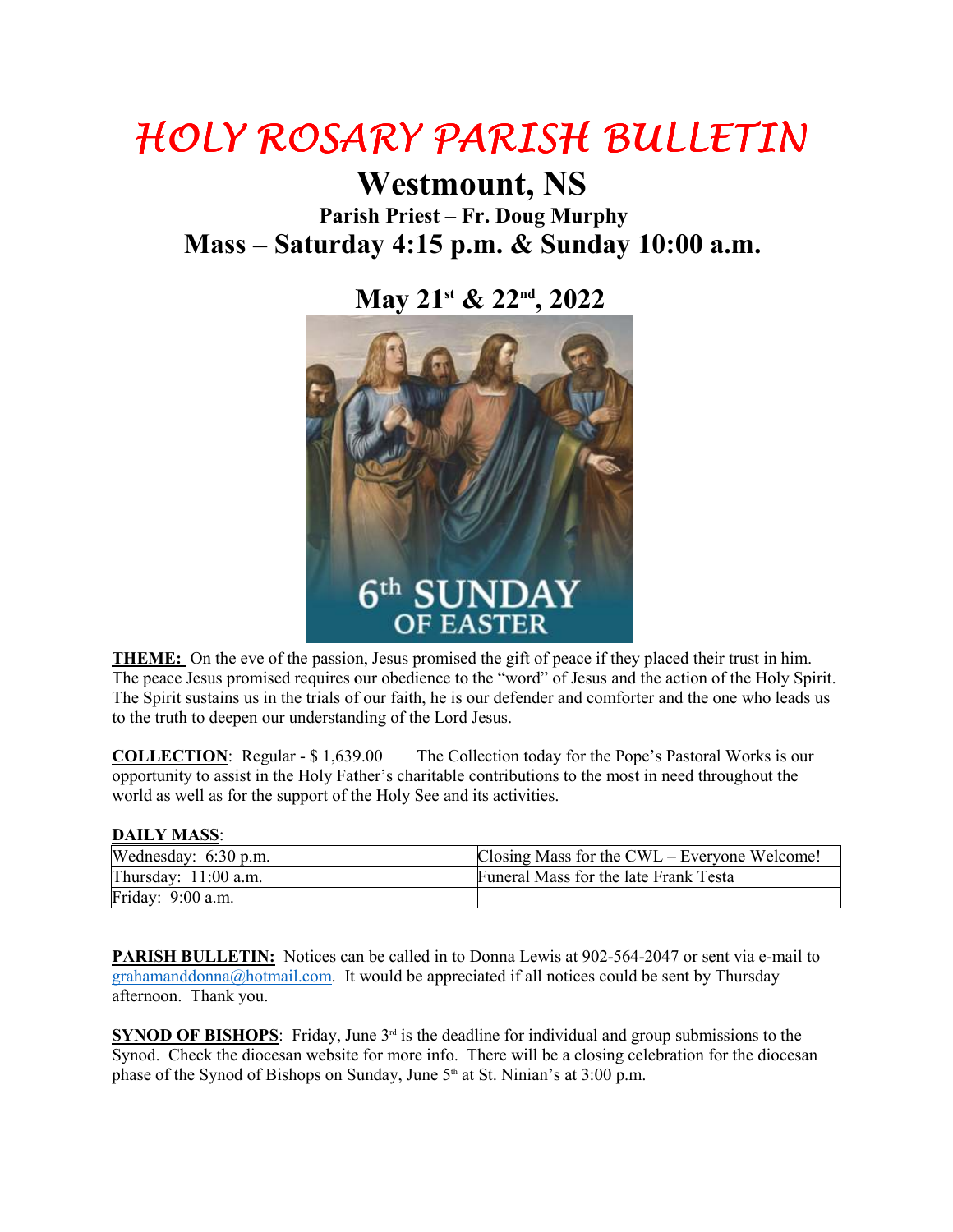# HOLY ROSARY PARISH BULLETIN HOLY ROSARY BULLETIN

## **Westmount, NS**

**Parish Priest – Fr. Doug Murphy Mass – Saturday 4:15 p.m. & Sunday 10:00 a.m.**

**May 21 st & 22nd, 2022**



**THEME:** On the eve of the passion, Jesus promised the gift of peace if they placed their trust in him. him. The peace Jesus promised requires our obedience to the "word" of Jesus and the action of the Holy Spirit. The Spirit sustains us in the trials of our faith, he is our defender and comforter and the one who leads us to the truth to deepen our understanding of the Lord Jesus. On the eve of the passion, Jesus promised the gift of peace if they placed their trust in him.<br>Jesus promised requires our obedience to the "word" of Jesus and the action of the Holy Spirit.<br>Justains us in the trials of ou Spirit.

#### **DAILY MASS**:

| The Spirit sustains us in the trials of our faith, he is our defender and comforter and the one who leads us<br>to the truth to deepen our understanding of the Lord Jesus.<br><b>COLLECTION:</b> Regular $-$ \$ 1,639.00<br>The Collection today for the Pope's Pastoral Works is our<br>opportunity to assist in the Holy Father's charitable contributions to the most in need throughout the<br>world as well as for the support of the Holy See and its activities. |                                                                                                       |
|--------------------------------------------------------------------------------------------------------------------------------------------------------------------------------------------------------------------------------------------------------------------------------------------------------------------------------------------------------------------------------------------------------------------------------------------------------------------------|-------------------------------------------------------------------------------------------------------|
|                                                                                                                                                                                                                                                                                                                                                                                                                                                                          |                                                                                                       |
| Wednesday: 6:30 p.m.                                                                                                                                                                                                                                                                                                                                                                                                                                                     | Closing Mass for the CWL – Everyone Welcome!                                                          |
| Thursday: 11:00 a.m.                                                                                                                                                                                                                                                                                                                                                                                                                                                     | Funeral Mass for the late Frank Testa                                                                 |
| Friday: 9:00 a.m.                                                                                                                                                                                                                                                                                                                                                                                                                                                        |                                                                                                       |
|                                                                                                                                                                                                                                                                                                                                                                                                                                                                          |                                                                                                       |
|                                                                                                                                                                                                                                                                                                                                                                                                                                                                          | <b>PARISH BULLETIN:</b> Notices can be called in to Donna Lewis at 902-564-2047 or sent via e-mail to |

**PARISH BULLETIN:** Notices can be called in to Donna Lewis at 902-564-2047 or sent via e grahamanddonna@hotmail.com. It would be appreciated if all notices could be sent by Thursday afternoon. Thank you.

**SYNOD OF BISHOPS**: Friday, June 3<sup>rd</sup> is the deadline for individual and group submissions to the Synod. Check the diocesan website for more info. There will be a closing celebration for the diocesan phase of the Synod of Bishops on Sunday, June 5<sup>th</sup> at St. Ninian's at 3:00 p.m. appreciated if all notices could be sent by Thursday<br>ie deadline for individual and group submissions to<br>info. There will be a closing celebration for the dio